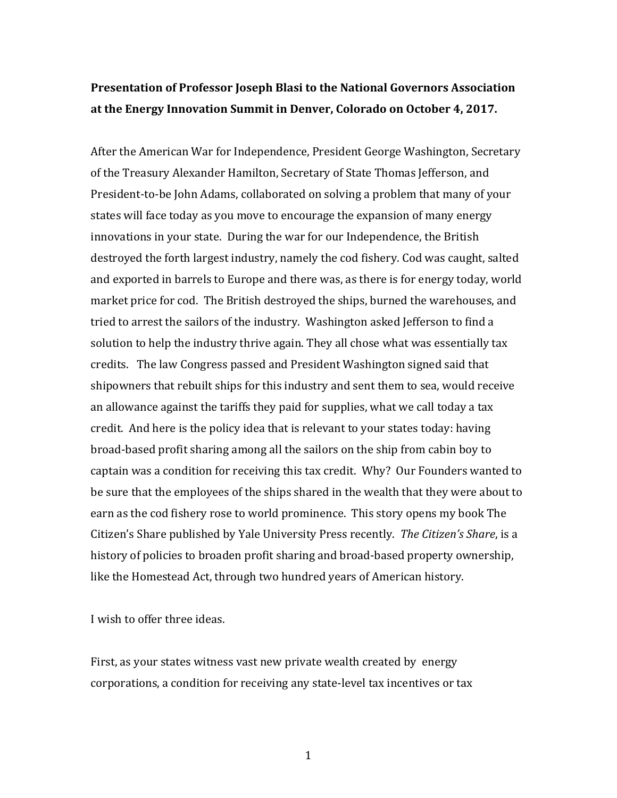# **Presentation of Professor Joseph Blasi to the National Governors Association** at the Energy Innovation Summit in Denver, Colorado on October 4, 2017.

After the American War for Independence, President George Washington, Secretary of the Treasury Alexander Hamilton, Secretary of State Thomas Jefferson, and President-to-be John Adams, collaborated on solving a problem that many of your states will face today as you move to encourage the expansion of many energy innovations in your state. During the war for our Independence, the British destroyed the forth largest industry, namely the cod fishery. Cod was caught, salted and exported in barrels to Europe and there was, as there is for energy today, world market price for cod. The British destroyed the ships, burned the warehouses, and tried to arrest the sailors of the industry. Washington asked Jefferson to find a solution to help the industry thrive again. They all chose what was essentially tax credits. The law Congress passed and President Washington signed said that shipowners that rebuilt ships for this industry and sent them to sea, would receive an allowance against the tariffs they paid for supplies, what we call today a tax credit. And here is the policy idea that is relevant to your states today: having broad-based profit sharing among all the sailors on the ship from cabin boy to captain was a condition for receiving this tax credit. Why? Our Founders wanted to be sure that the employees of the ships shared in the wealth that they were about to earn as the cod fishery rose to world prominence. This story opens my book The Citizen's Share published by Yale University Press recently. *The Citizen's Share*, is a history of policies to broaden profit sharing and broad-based property ownership, like the Homestead Act, through two hundred years of American history.

I wish to offer three ideas.

First, as your states witness vast new private wealth created by energy corporations, a condition for receiving any state-level tax incentives or tax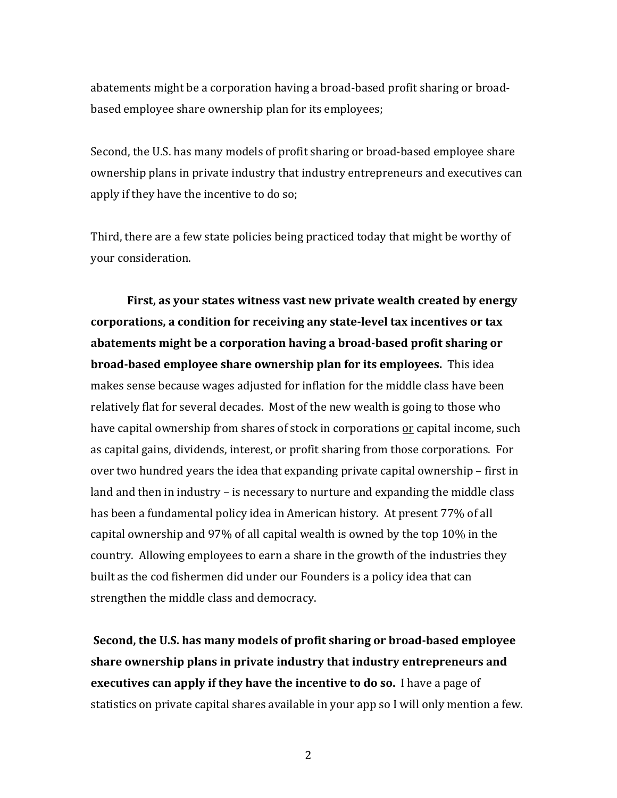abatements might be a corporation having a broad-based profit sharing or broadbased employee share ownership plan for its employees;

Second, the U.S. has many models of profit sharing or broad-based employee share ownership plans in private industry that industry entrepreneurs and executives can apply if they have the incentive to do so;

Third, there are a few state policies being practiced today that might be worthy of your consideration.

**First, as your states witness vast new private wealth created by energy** corporations, a condition for receiving any state-level tax incentives or tax abatements might be a corporation having a broad-based profit sharing or **broad-based employee share ownership plan for its employees.** This idea makes sense because wages adjusted for inflation for the middle class have been relatively flat for several decades. Most of the new wealth is going to those who have capital ownership from shares of stock in corporations or capital income, such as capital gains, dividends, interest, or profit sharing from those corporations. For over two hundred years the idea that expanding private capital ownership – first in land and then in industry  $-$  is necessary to nurture and expanding the middle class has been a fundamental policy idea in American history. At present 77% of all capital ownership and  $97\%$  of all capital wealth is owned by the top 10% in the country. Allowing employees to earn a share in the growth of the industries they built as the cod fishermen did under our Founders is a policy idea that can strengthen the middle class and democracy.

**Second, the U.S. has many models of profit sharing or broad-based employee share ownership plans in private industry that industry entrepreneurs and executives can apply if they have the incentive to do so.** I have a page of statistics on private capital shares available in your app so I will only mention a few.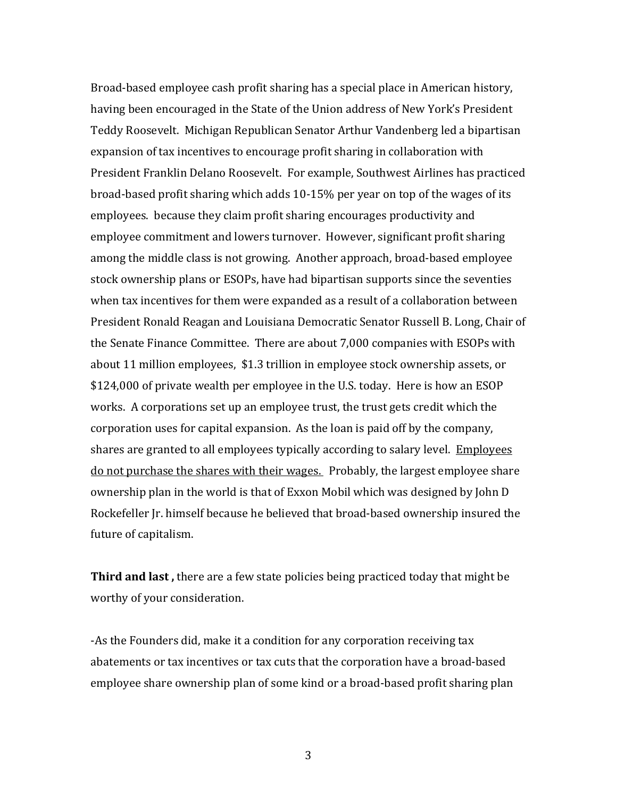Broad-based employee cash profit sharing has a special place in American history, having been encouraged in the State of the Union address of New York's President Teddy Roosevelt. Michigan Republican Senator Arthur Vandenberg led a bipartisan expansion of tax incentives to encourage profit sharing in collaboration with President Franklin Delano Roosevelt. For example, Southwest Airlines has practiced broad-based profit sharing which adds 10-15% per year on top of the wages of its employees. because they claim profit sharing encourages productivity and employee commitment and lowers turnover. However, significant profit sharing among the middle class is not growing. Another approach, broad-based employee stock ownership plans or ESOPs, have had bipartisan supports since the seventies when tax incentives for them were expanded as a result of a collaboration between President Ronald Reagan and Louisiana Democratic Senator Russell B. Long, Chair of the Senate Finance Committee. There are about 7,000 companies with ESOPs with about 11 million employees, \$1.3 trillion in employee stock ownership assets, or \$124,000 of private wealth per employee in the U.S. today. Here is how an ESOP works. A corporations set up an employee trust, the trust gets credit which the corporation uses for capital expansion. As the loan is paid off by the company, shares are granted to all employees typically according to salary level. Employees do not purchase the shares with their wages. Probably, the largest employee share ownership plan in the world is that of Exxon Mobil which was designed by John D Rockefeller Ir. himself because he believed that broad-based ownership insured the future of capitalism.

**Third and last,** there are a few state policies being practiced today that might be worthy of your consideration.

-As the Founders did, make it a condition for any corporation receiving tax abatements or tax incentives or tax cuts that the corporation have a broad-based employee share ownership plan of some kind or a broad-based profit sharing plan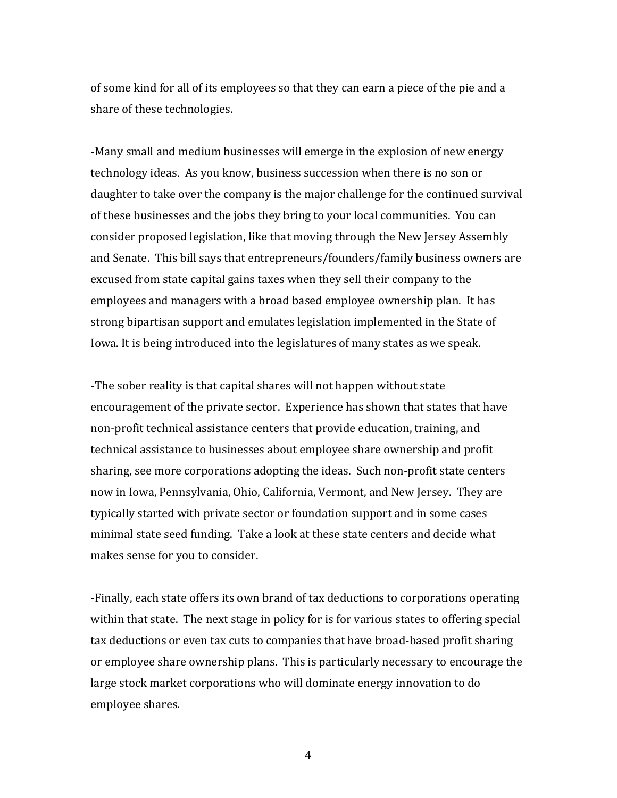of some kind for all of its employees so that they can earn a piece of the pie and a share of these technologies.

-Many small and medium businesses will emerge in the explosion of new energy technology ideas. As you know, business succession when there is no son or daughter to take over the company is the major challenge for the continued survival of these businesses and the jobs they bring to your local communities. You can consider proposed legislation, like that moving through the New Jersey Assembly and Senate. This bill says that entrepreneurs/founders/family business owners are excused from state capital gains taxes when they sell their company to the employees and managers with a broad based employee ownership plan. It has strong bipartisan support and emulates legislation implemented in the State of Iowa. It is being introduced into the legislatures of many states as we speak.

-The sober reality is that capital shares will not happen without state encouragement of the private sector. Experience has shown that states that have non-profit technical assistance centers that provide education, training, and technical assistance to businesses about employee share ownership and profit sharing, see more corporations adopting the ideas. Such non-profit state centers now in Iowa, Pennsylvania, Ohio, California, Vermont, and New Jersey. They are typically started with private sector or foundation support and in some cases minimal state seed funding. Take a look at these state centers and decide what makes sense for you to consider.

-Finally, each state offers its own brand of tax deductions to corporations operating within that state. The next stage in policy for is for various states to offering special tax deductions or even tax cuts to companies that have broad-based profit sharing or employee share ownership plans. This is particularly necessary to encourage the large stock market corporations who will dominate energy innovation to do employee shares.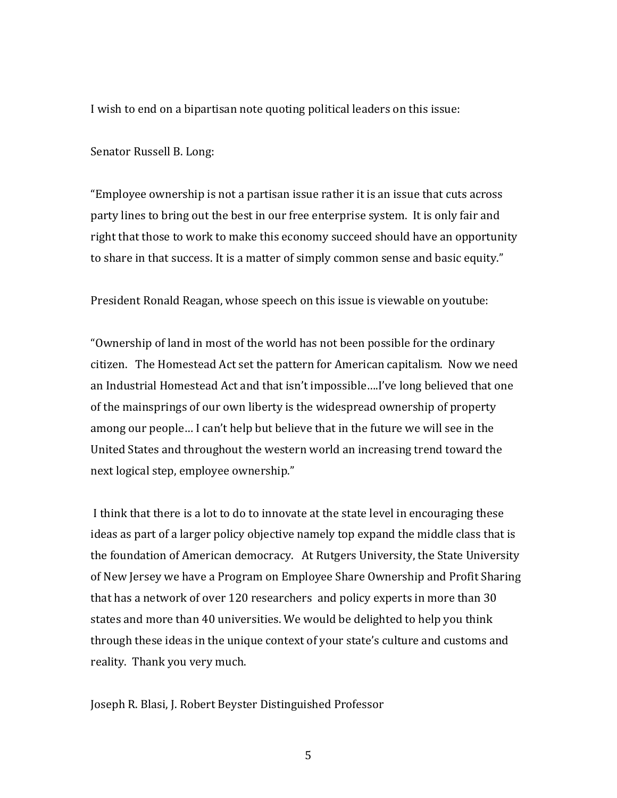I wish to end on a bipartisan note quoting political leaders on this issue:

Senator Russell B. Long:

"Employee ownership is not a partisan issue rather it is an issue that cuts across party lines to bring out the best in our free enterprise system. It is only fair and right that those to work to make this economy succeed should have an opportunity to share in that success. It is a matter of simply common sense and basic equity."

President Ronald Reagan, whose speech on this issue is viewable on youtube:

"Ownership of land in most of the world has not been possible for the ordinary citizen. The Homestead Act set the pattern for American capitalism. Now we need an Industrial Homestead Act and that isn't impossible....I've long believed that one of the mainsprings of our own liberty is the widespread ownership of property among our people... I can't help but believe that in the future we will see in the United States and throughout the western world an increasing trend toward the next logical step, employee ownership."

I think that there is a lot to do to innovate at the state level in encouraging these ideas as part of a larger policy objective namely top expand the middle class that is the foundation of American democracy. At Rutgers University, the State University of New Jersey we have a Program on Employee Share Ownership and Profit Sharing that has a network of over 120 researchers and policy experts in more than 30 states and more than 40 universities. We would be delighted to help you think through these ideas in the unique context of your state's culture and customs and reality. Thank you very much.

Joseph R. Blasi, J. Robert Beyster Distinguished Professor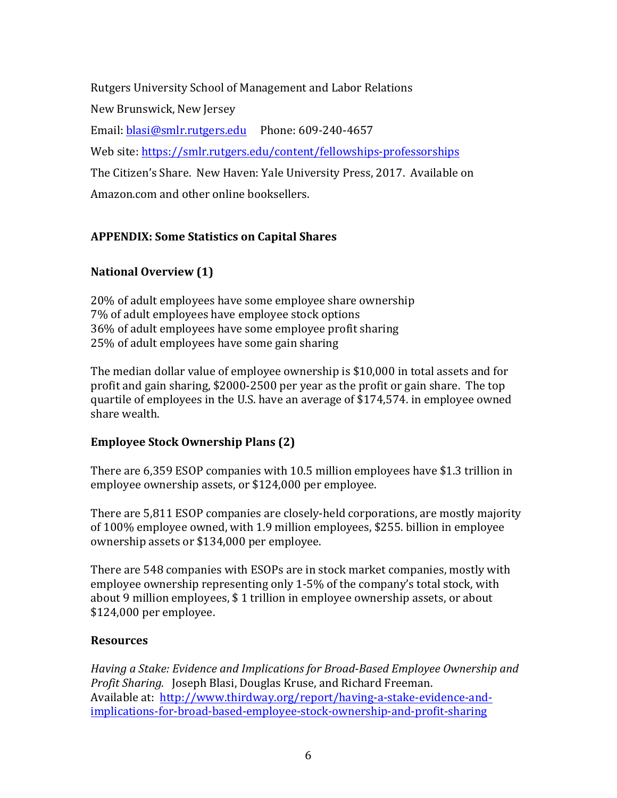Rutgers University School of Management and Labor Relations New Brunswick, New Jersey Email: blasi@smlr.rutgers.edu Phone: 609-240-4657 Web site: https://smlr.rutgers.edu/content/fellowships-professorships The Citizen's Share. New Haven: Yale University Press, 2017. Available on Amazon.com and other online booksellers.

# **APPENDIX: Some Statistics on Capital Shares**

# **National Overview (1)**

20% of adult employees have some employee share ownership 7% of adult employees have employee stock options 36% of adult employees have some employee profit sharing 25% of adult employees have some gain sharing

The median dollar value of employee ownership is \$10,000 in total assets and for profit and gain sharing,  $$2000-2500$  per year as the profit or gain share. The top quartile of employees in the U.S. have an average of \$174,574. in employee owned share wealth.

## **Employee Stock Ownership Plans (2)**

There are 6,359 ESOP companies with 10.5 million employees have \$1.3 trillion in employee ownership assets, or \$124,000 per employee.

There are 5,811 ESOP companies are closely-held corporations, are mostly majority of 100% employee owned, with 1.9 million employees, \$255. billion in employee ownership assets or \$134,000 per employee.

There are 548 companies with ESOPs are in stock market companies, mostly with employee ownership representing only 1-5% of the company's total stock, with about 9 million employees, \$1 trillion in employee ownership assets, or about \$124,000 per employee.

### **Resources**

Having a Stake: Evidence and Implications for Broad-Based Employee Ownership and *Profit Sharing.* Joseph Blasi, Douglas Kruse, and Richard Freeman. Available at: http://www.thirdway.org/report/having-a-stake-evidence-andimplications-for-broad-based-employee-stock-ownership-and-profit-sharing